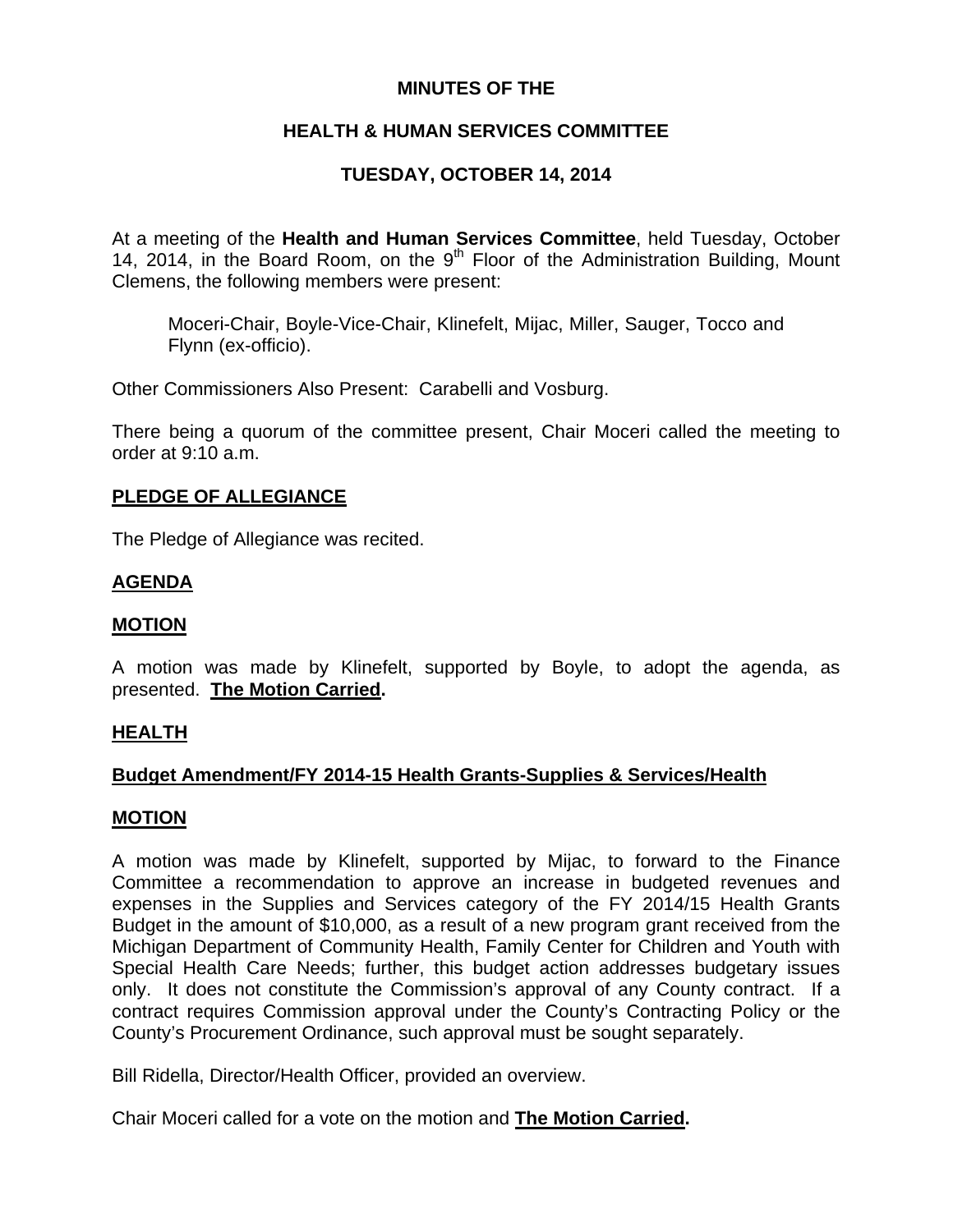## **MINUTES OF THE**

# **HEALTH & HUMAN SERVICES COMMITTEE**

# **TUESDAY, OCTOBER 14, 2014**

At a meeting of the **Health and Human Services Committee**, held Tuesday, October 14, 2014, in the Board Room, on the  $9<sup>th</sup>$  Floor of the Administration Building, Mount Clemens, the following members were present:

Moceri-Chair, Boyle-Vice-Chair, Klinefelt, Mijac, Miller, Sauger, Tocco and Flynn (ex-officio).

Other Commissioners Also Present: Carabelli and Vosburg.

There being a quorum of the committee present, Chair Moceri called the meeting to order at 9:10 a.m.

## **PLEDGE OF ALLEGIANCE**

The Pledge of Allegiance was recited.

## **AGENDA**

## **MOTION**

A motion was made by Klinefelt, supported by Boyle, to adopt the agenda, as presented. **The Motion Carried.** 

## **HEALTH**

## **Budget Amendment/FY 2014-15 Health Grants-Supplies & Services/Health**

## **MOTION**

A motion was made by Klinefelt, supported by Mijac, to forward to the Finance Committee a recommendation to approve an increase in budgeted revenues and expenses in the Supplies and Services category of the FY 2014/15 Health Grants Budget in the amount of \$10,000, as a result of a new program grant received from the Michigan Department of Community Health, Family Center for Children and Youth with Special Health Care Needs; further, this budget action addresses budgetary issues only. It does not constitute the Commission's approval of any County contract. If a contract requires Commission approval under the County's Contracting Policy or the County's Procurement Ordinance, such approval must be sought separately.

Bill Ridella, Director/Health Officer, provided an overview.

Chair Moceri called for a vote on the motion and **The Motion Carried.**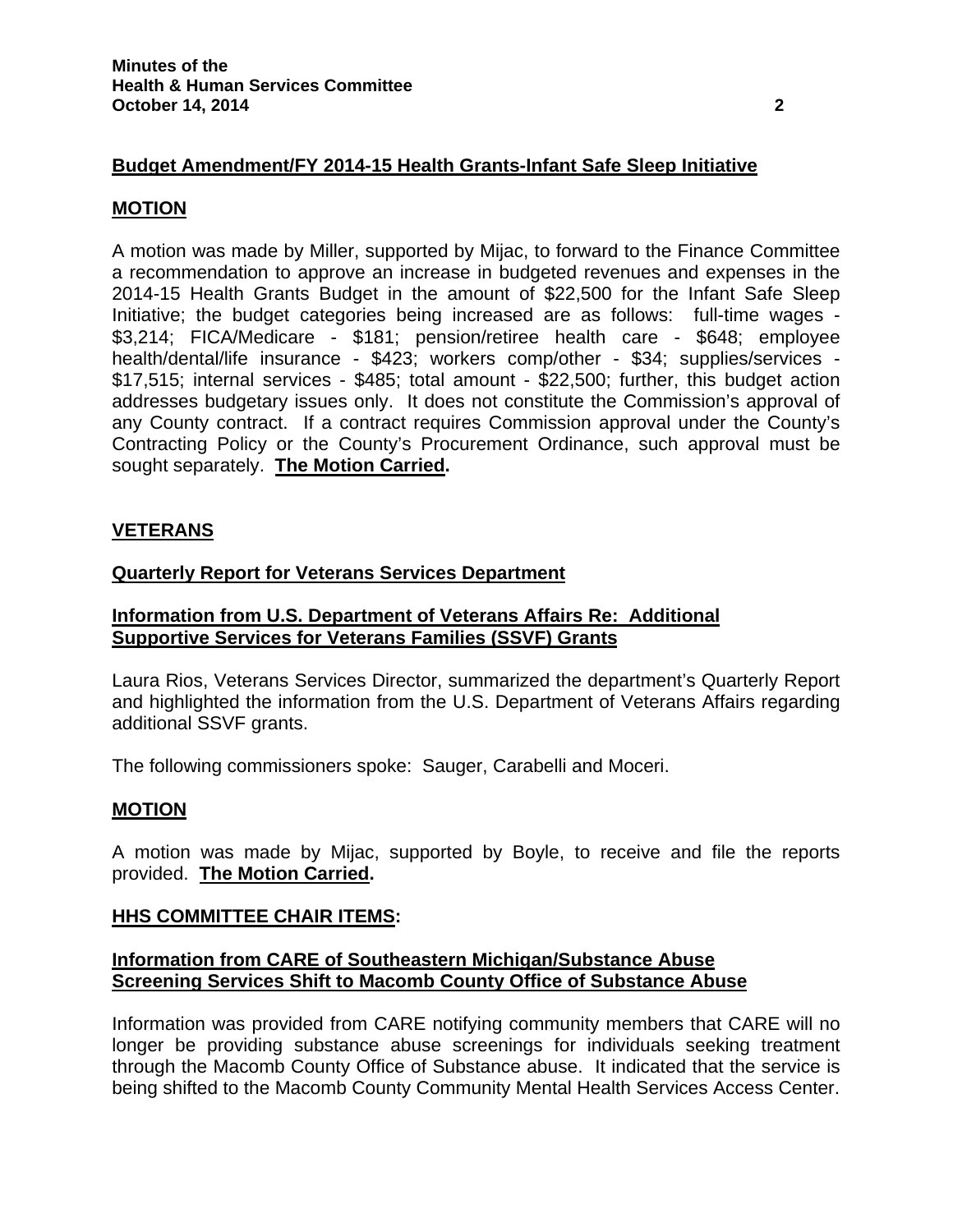## **Budget Amendment/FY 2014-15 Health Grants-Infant Safe Sleep Initiative**

#### **MOTION**

A motion was made by Miller, supported by Mijac, to forward to the Finance Committee a recommendation to approve an increase in budgeted revenues and expenses in the 2014-15 Health Grants Budget in the amount of \$22,500 for the Infant Safe Sleep Initiative; the budget categories being increased are as follows: full-time wages - \$3,214; FICA/Medicare - \$181; pension/retiree health care - \$648; employee health/dental/life insurance - \$423; workers comp/other - \$34; supplies/services - \$17,515; internal services - \$485; total amount - \$22,500; further, this budget action addresses budgetary issues only. It does not constitute the Commission's approval of any County contract. If a contract requires Commission approval under the County's Contracting Policy or the County's Procurement Ordinance, such approval must be sought separately. **The Motion Carried.** 

## **VETERANS**

#### **Quarterly Report for Veterans Services Department**

## **Information from U.S. Department of Veterans Affairs Re: Additional Supportive Services for Veterans Families (SSVF) Grants**

Laura Rios, Veterans Services Director, summarized the department's Quarterly Report and highlighted the information from the U.S. Department of Veterans Affairs regarding additional SSVF grants.

The following commissioners spoke: Sauger, Carabelli and Moceri.

## **MOTION**

A motion was made by Mijac, supported by Boyle, to receive and file the reports provided. **The Motion Carried.** 

#### **HHS COMMITTEE CHAIR ITEMS:**

## **Information from CARE of Southeastern Michigan/Substance Abuse Screening Services Shift to Macomb County Office of Substance Abuse**

Information was provided from CARE notifying community members that CARE will no longer be providing substance abuse screenings for individuals seeking treatment through the Macomb County Office of Substance abuse. It indicated that the service is being shifted to the Macomb County Community Mental Health Services Access Center.